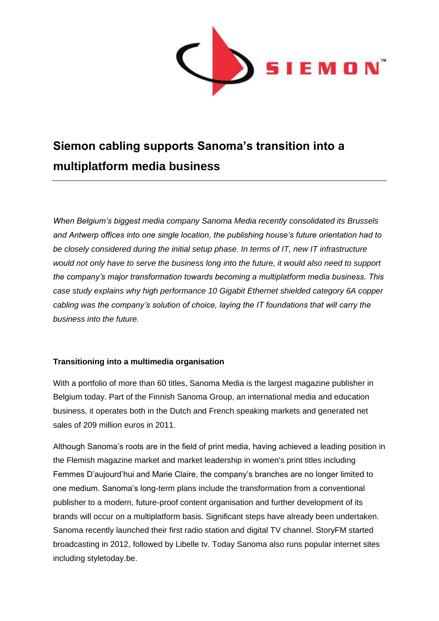

# **Siemon cabling supports Sanoma's transition into a multiplatform media business**

*When Belgium's biggest media company Sanoma Media recently consolidated its Brussels and Antwerp offices into one single location, the publishing house's future orientation had to be closely considered during the initial setup phase. In terms of IT, new IT infrastructure would not only have to serve the business long into the future, it would also need to support the company's major transformation towards becoming a multiplatform media business. This case study explains why high performance 10 Gigabit Ethernet shielded category 6A copper cabling was the company's solution of choice, laying the IT foundations that will carry the business into the future.* 

# **Transitioning into a multimedia organisation**

With a portfolio of more than 60 titles, Sanoma Media is the largest magazine publisher in Belgium today. Part of the Finnish Sanoma Group, an international media and education business, it operates both in the Dutch and French speaking markets and generated net sales of 209 million euros in 2011.

Although Sanoma's roots are in the field of print media, having achieved a leading position in the Flemish magazine market and market leadership in women's print titles including Femmes D'aujourd'hui and Marie Claire, the company's branches are no longer limited to one medium. Sanoma's long-term plans include the transformation from a conventional publisher to a modern, future-proof content organisation and further development of its brands will occur on a multiplatform basis. Significant steps have already been undertaken. Sanoma recently launched their first radio station and digital TV channel. StoryFM started broadcasting in 2012, followed by Libelle tv. Today Sanoma also runs popular internet sites including styletoday.be.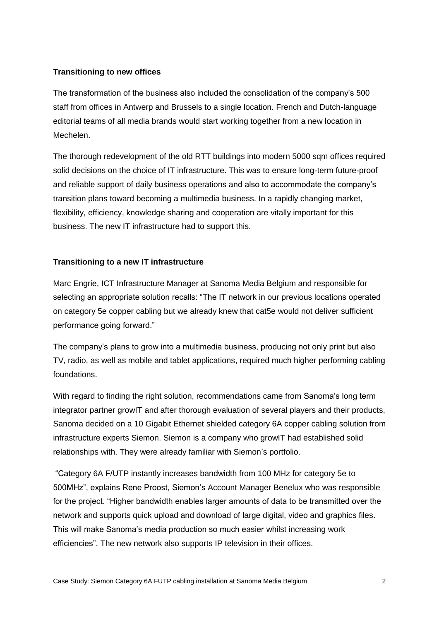# **Transitioning to new offices**

The transformation of the business also included the consolidation of the company's 500 staff from offices in Antwerp and Brussels to a single location. French and Dutch-language editorial teams of all media brands would start working together from a new location in Mechelen.

The thorough redevelopment of the old RTT buildings into modern 5000 sqm offices required solid decisions on the choice of IT infrastructure. This was to ensure long-term future-proof and reliable support of daily business operations and also to accommodate the company's transition plans toward becoming a multimedia business. In a rapidly changing market, flexibility, efficiency, knowledge sharing and cooperation are vitally important for this business. The new IT infrastructure had to support this.

# **Transitioning to a new IT infrastructure**

Marc Engrie, ICT Infrastructure Manager at Sanoma Media Belgium and responsible for selecting an appropriate solution recalls: "The IT network in our previous locations operated on category 5e copper cabling but we already knew that cat5e would not deliver sufficient performance going forward."

The company's plans to grow into a multimedia business, producing not only print but also TV, radio, as well as mobile and tablet applications, required much higher performing cabling foundations.

With regard to finding the right solution, recommendations came from Sanoma's long term integrator partner growIT and after thorough evaluation of several players and their products, Sanoma decided on a 10 Gigabit Ethernet shielded category 6A copper cabling solution from infrastructure experts Siemon. Siemon is a company who growIT had established solid relationships with. They were already familiar with Siemon's portfolio.

"Category 6A F/UTP instantly increases bandwidth from 100 MHz for category 5e to 500MHz", explains Rene Proost, Siemon's Account Manager Benelux who was responsible for the project. "Higher bandwidth enables larger amounts of data to be transmitted over the network and supports quick upload and download of large digital, video and graphics files. This will make Sanoma's media production so much easier whilst increasing work efficiencies". The new network also supports IP television in their offices.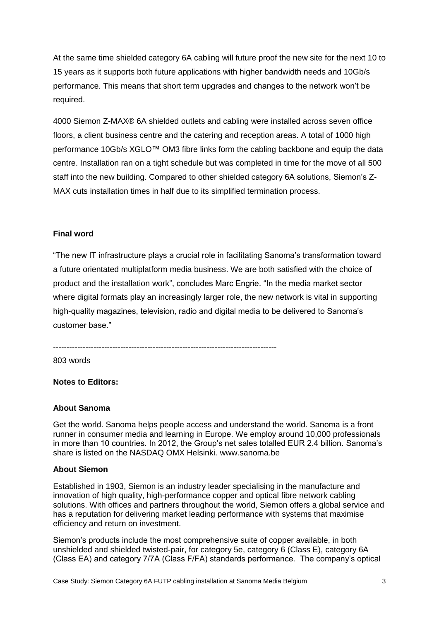At the same time shielded category 6A cabling will future proof the new site for the next 10 to 15 years as it supports both future applications with higher bandwidth needs and 10Gb/s performance. This means that short term upgrades and changes to the network won't be required.

4000 Siemon Z-MAX® 6A shielded outlets and cabling were installed across seven office floors, a client business centre and the catering and reception areas. A total of 1000 high performance 10Gb/s XGLO™ OM3 fibre links form the cabling backbone and equip the data centre. Installation ran on a tight schedule but was completed in time for the move of all 500 staff into the new building. Compared to other shielded category 6A solutions, Siemon's Z-MAX cuts installation times in half due to its simplified termination process.

## **Final word**

"The new IT infrastructure plays a crucial role in facilitating Sanoma's transformation toward a future orientated multiplatform media business. We are both satisfied with the choice of product and the installation work", concludes Marc Engrie. "In the media market sector where digital formats play an increasingly larger role, the new network is vital in supporting high-quality magazines, television, radio and digital media to be delivered to Sanoma's customer base."

-----------------------------------------------------------------------------------

803 words

**Notes to Editors:**

### **About Sanoma**

Get the world. Sanoma helps people access and understand the world. Sanoma is a front runner in consumer media and learning in Europe. We employ around 10,000 professionals in more than 10 countries. In 2012, the Group's net sales totalled EUR 2.4 billion. Sanoma's share is listed on the NASDAQ OMX Helsinki. www.sanoma.be

### **About Siemon**

Established in 1903, Siemon is an industry leader specialising in the manufacture and innovation of high quality, high-performance copper and optical fibre network cabling solutions. With offices and partners throughout the world, Siemon offers a global service and has a reputation for delivering market leading performance with systems that maximise efficiency and return on investment.

Siemon's products include the most comprehensive suite of copper available, in both unshielded and shielded twisted-pair, for category 5e, category 6 (Class E), category 6A (Class EA) and category 7/7A (Class F/FA) standards performance. The company's optical